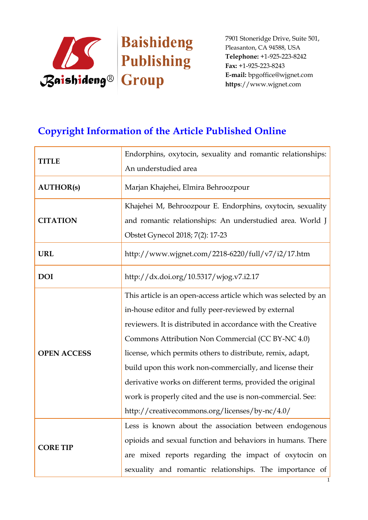

# **Copyright Information of the Article Published Online**

| An understudied area<br><b>AUTHOR(s)</b><br>Marjan Khajehei, Elmira Behroozpour<br>Khajehei M, Behroozpour E. Endorphins, oxytocin, sexuality<br><b>CITATION</b><br>and romantic relationships: An understudied area. World J<br>Obstet Gynecol 2018; 7(2): 17-23<br>http://www.wjgnet.com/2218-6220/full/v7/i2/17.htm<br><b>URL</b><br>http://dx.doi.org/10.5317/wjog.v7.i2.17<br><b>DOI</b><br>This article is an open-access article which was selected by an<br>in-house editor and fully peer-reviewed by external<br>reviewers. It is distributed in accordance with the Creative<br>Commons Attribution Non Commercial (CC BY-NC 4.0)<br><b>OPEN ACCESS</b><br>license, which permits others to distribute, remix, adapt,<br>build upon this work non-commercially, and license their<br>derivative works on different terms, provided the original<br>work is properly cited and the use is non-commercial. See:<br>http://creativecommons.org/licenses/by-nc/4.0/<br>Less is known about the association between endogenous<br>opioids and sexual function and behaviors in humans. There<br><b>CORE TIP</b> | <b>TITLE</b> | Endorphins, oxytocin, sexuality and romantic relationships: |
|-----------------------------------------------------------------------------------------------------------------------------------------------------------------------------------------------------------------------------------------------------------------------------------------------------------------------------------------------------------------------------------------------------------------------------------------------------------------------------------------------------------------------------------------------------------------------------------------------------------------------------------------------------------------------------------------------------------------------------------------------------------------------------------------------------------------------------------------------------------------------------------------------------------------------------------------------------------------------------------------------------------------------------------------------------------------------------------------------------------------------|--------------|-------------------------------------------------------------|
|                                                                                                                                                                                                                                                                                                                                                                                                                                                                                                                                                                                                                                                                                                                                                                                                                                                                                                                                                                                                                                                                                                                       |              |                                                             |
|                                                                                                                                                                                                                                                                                                                                                                                                                                                                                                                                                                                                                                                                                                                                                                                                                                                                                                                                                                                                                                                                                                                       |              |                                                             |
|                                                                                                                                                                                                                                                                                                                                                                                                                                                                                                                                                                                                                                                                                                                                                                                                                                                                                                                                                                                                                                                                                                                       |              |                                                             |
|                                                                                                                                                                                                                                                                                                                                                                                                                                                                                                                                                                                                                                                                                                                                                                                                                                                                                                                                                                                                                                                                                                                       |              |                                                             |
|                                                                                                                                                                                                                                                                                                                                                                                                                                                                                                                                                                                                                                                                                                                                                                                                                                                                                                                                                                                                                                                                                                                       |              |                                                             |
|                                                                                                                                                                                                                                                                                                                                                                                                                                                                                                                                                                                                                                                                                                                                                                                                                                                                                                                                                                                                                                                                                                                       |              |                                                             |
|                                                                                                                                                                                                                                                                                                                                                                                                                                                                                                                                                                                                                                                                                                                                                                                                                                                                                                                                                                                                                                                                                                                       |              |                                                             |
|                                                                                                                                                                                                                                                                                                                                                                                                                                                                                                                                                                                                                                                                                                                                                                                                                                                                                                                                                                                                                                                                                                                       |              |                                                             |
|                                                                                                                                                                                                                                                                                                                                                                                                                                                                                                                                                                                                                                                                                                                                                                                                                                                                                                                                                                                                                                                                                                                       |              |                                                             |
|                                                                                                                                                                                                                                                                                                                                                                                                                                                                                                                                                                                                                                                                                                                                                                                                                                                                                                                                                                                                                                                                                                                       |              |                                                             |
|                                                                                                                                                                                                                                                                                                                                                                                                                                                                                                                                                                                                                                                                                                                                                                                                                                                                                                                                                                                                                                                                                                                       |              |                                                             |
|                                                                                                                                                                                                                                                                                                                                                                                                                                                                                                                                                                                                                                                                                                                                                                                                                                                                                                                                                                                                                                                                                                                       |              |                                                             |
|                                                                                                                                                                                                                                                                                                                                                                                                                                                                                                                                                                                                                                                                                                                                                                                                                                                                                                                                                                                                                                                                                                                       |              |                                                             |
|                                                                                                                                                                                                                                                                                                                                                                                                                                                                                                                                                                                                                                                                                                                                                                                                                                                                                                                                                                                                                                                                                                                       |              |                                                             |
|                                                                                                                                                                                                                                                                                                                                                                                                                                                                                                                                                                                                                                                                                                                                                                                                                                                                                                                                                                                                                                                                                                                       |              |                                                             |
|                                                                                                                                                                                                                                                                                                                                                                                                                                                                                                                                                                                                                                                                                                                                                                                                                                                                                                                                                                                                                                                                                                                       |              |                                                             |
|                                                                                                                                                                                                                                                                                                                                                                                                                                                                                                                                                                                                                                                                                                                                                                                                                                                                                                                                                                                                                                                                                                                       |              |                                                             |
|                                                                                                                                                                                                                                                                                                                                                                                                                                                                                                                                                                                                                                                                                                                                                                                                                                                                                                                                                                                                                                                                                                                       |              |                                                             |
|                                                                                                                                                                                                                                                                                                                                                                                                                                                                                                                                                                                                                                                                                                                                                                                                                                                                                                                                                                                                                                                                                                                       |              | are mixed reports regarding the impact of oxytocin on       |
| sexuality and romantic relationships. The importance of                                                                                                                                                                                                                                                                                                                                                                                                                                                                                                                                                                                                                                                                                                                                                                                                                                                                                                                                                                                                                                                               |              |                                                             |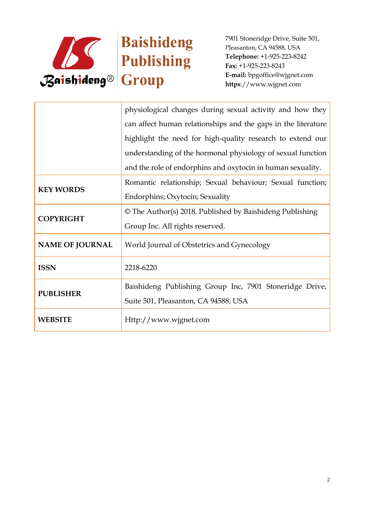

|                        | physiological changes during sexual activity and how they     |
|------------------------|---------------------------------------------------------------|
|                        | can affect human relationships and the gaps in the literature |
|                        | highlight the need for high-quality research to extend our    |
|                        | understanding of the hormonal physiology of sexual function   |
|                        | and the role of endorphins and oxytocin in human sexuality.   |
| <b>KEY WORDS</b>       | Romantic relationship; Sexual behaviour; Sexual function;     |
|                        | Endorphins; Oxytocin; Sexuality                               |
| <b>COPYRIGHT</b>       | © The Author(s) 2018. Published by Baishideng Publishing      |
|                        | Group Inc. All rights reserved.                               |
| <b>NAME OF JOURNAL</b> | World Journal of Obstetrics and Gynecology                    |
| <b>ISSN</b>            |                                                               |
|                        | 2218-6220                                                     |
| <b>PUBLISHER</b>       | Baishideng Publishing Group Inc, 7901 Stoneridge Drive,       |
|                        | Suite 501, Pleasanton, CA 94588, USA                          |
| <b>WEBSITE</b>         | Http://www.wjgnet.com                                         |
|                        |                                                               |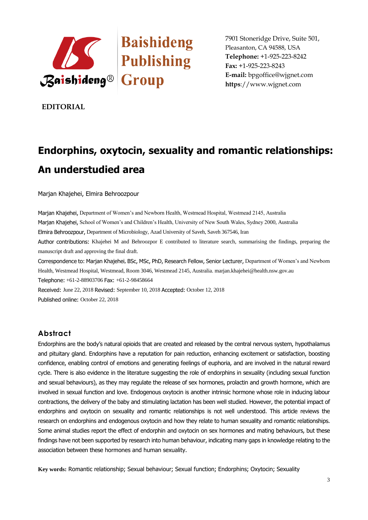

**EDITORIAL**

# **Endorphins, oxytocin, sexuality and romantic relationships: An understudied area**

Marjan Khajehei, Elmira Behroozpour

Marjan Khajehei, Department of Women's and Newborn Health, Westmead Hospital, Westmead 2145, Australia Marjan Khajehei, School of Women's and Children's Health, University of New South Wales, Sydney 2000, Australia Elmira Behroozpour, Department of Microbiology, Azad University of Saveh, Saveh 367546, Iran Author contributions: Khajehei M and Behroozpor E contributed to literature search, summarising the findings, preparing the manuscript draft and approving the final draft. Correspondence to: Marjan Khajehei, BSc, MSc, PhD, Research Fellow, Senior Lecturer, Department of Women's and Newborn Health, Westmead Hospital, Westmead, Room 3046, Westmead 2145, Australia. marjan.khajehei@health.nsw.gov.au Telephone: +61-2-88903706 Fax: +61-2-98458664 Received: June 22, 2018 Revised: September 10, 2018 Accepted: October 12, 2018

Published online: October 22, 2018

# **Abstract**

Endorphins are the body's natural opioids that are created and released by the central nervous system, hypothalamus and pituitary gland. Endorphins have a reputation for pain reduction, enhancing excitement or satisfaction, boosting confidence, enabling control of emotions and generating feelings of euphoria, and are involved in the natural reward cycle. There is also evidence in the literature suggesting the role of endorphins in sexuality (including sexual function and sexual behaviours), as they may regulate the release of sex hormones, prolactin and growth hormone, which are involved in sexual function and love. Endogenous oxytocin is another intrinsic hormone whose role in inducing labour contractions, the delivery of the baby and stimulating lactation has been well studied. However, the potential impact of endorphins and oxytocin on sexuality and romantic relationships is not well understood. This article reviews the research on endorphins and endogenous oxytocin and how they relate to human sexuality and romantic relationships. Some animal studies report the effect of endorphin and oxytocin on sex hormones and mating behaviours, but these findings have not been supported by research into human behaviour, indicating many gaps in knowledge relating to the association between these hormones and human sexuality.

**Key words:** Romantic relationship; Sexual behaviour; Sexual function; Endorphins; Oxytocin; Sexuality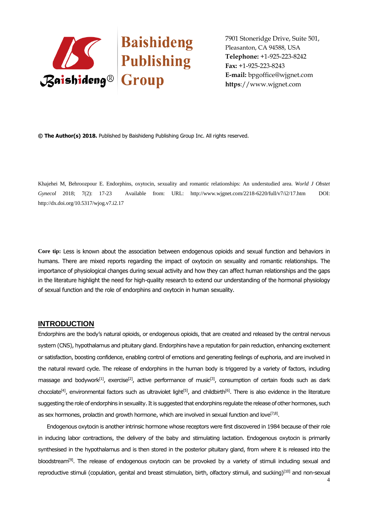

**© The Author(s) 2018.** Published by Baishideng Publishing Group Inc. All rights reserved.

Khajehei M, Behroozpour E. Endorphins, oxytocin, sexuality and romantic relationships: An understudied area. *World J Obstet Gynecol* 2018; 7(2): 17-23 Available from: URL: http://www.wjgnet.com/2218-6220/full/v7/i2/17.htm DOI: http://dx.doi.org/10.5317/wjog.v7.i2.17

**Core tip:** Less is known about the association between endogenous opioids and sexual function and behaviors in humans. There are mixed reports regarding the impact of oxytocin on sexuality and romantic relationships. The importance of physiological changes during sexual activity and how they can affect human relationships and the gaps in the literature highlight the need for high-quality research to extend our understanding of the hormonal physiology of sexual function and the role of endorphins and oxytocin in human sexuality.

#### **INTRODUCTION**

Endorphins are the body's natural opioids, or endogenous opioids, that are created and released by the central nervous system (CNS), hypothalamus and pituitary gland. Endorphins have a reputation for pain reduction, enhancing excitement or satisfaction, boosting confidence, enabling control of emotions and generating feelings of euphoria, and are involved in the natural reward cycle. The release of endorphins in the human body is triggered by a variety of factors, including massage and bodywork<sup>[1]</sup>, exercise<sup>[2]</sup>, active performance of music<sup>[3]</sup>, consumption of certain foods such as dark chocolate<sup>[4]</sup>, environmental factors such as ultraviolet light<sup>[5]</sup>, and childbirth<sup>[6]</sup>. There is also evidence in the literature suggesting the role of endorphins in sexuality. It is suggested that endorphins regulate the release of other hormones, such as sex hormones, prolactin and growth hormone, which are involved in sexual function and love ${}^{[7,8]}.$ 

Endogenous oxytocin is another intrinsic hormone whose receptors were first discovered in 1984 because of their role in inducing labor contractions, the delivery of the baby and stimulating lactation. Endogenous oxytocin is primarily synthesised in the hypothalamus and is then stored in the posterior pituitary gland, from where it is released into the bloodstream<sup>[9]</sup>. The release of endogenous oxytocin can be provoked by a variety of stimuli including sexual and reproductive stimuli (copulation, genital and breast stimulation, birth, olfactory stimuli, and sucking)<sup>[10]</sup> and non-sexual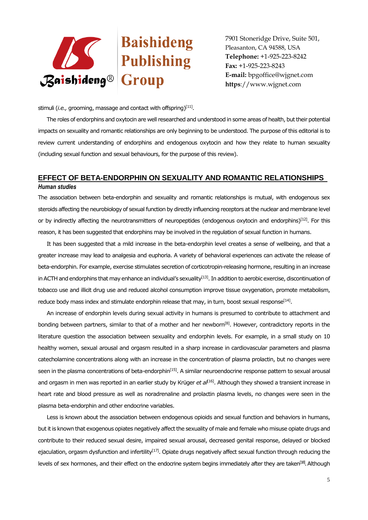

stimuli (*i.e.,* grooming, massage and contact with offspring)<sup>[11]</sup>.

The roles of endorphins and oxytocin are well researched and understood in some areas of health, but their potential impacts on sexuality and romantic relationships are only beginning to be understood. The purpose of this editorial is to review current understanding of endorphins and endogenous oxytocin and how they relate to human sexuality (including sexual function and sexual behaviours, for the purpose of this review).

# **EFFECT OF BETA-ENDORPHIN ON SEXUALITY AND ROMANTIC RELATIONSHIPS**  *Human studies*

The association between beta-endorphin and sexuality and romantic relationships is mutual, with endogenous sex steroids affecting the neurobiology of sexual function by directly influencing receptors at the nuclear and membrane level or by indirectly affecting the neurotransmitters of neuropeptides (endogenous oxytocin and endorphins)<sup>[12]</sup>. For this reason, it has been suggested that endorphins may be involved in the regulation of sexual function in humans.

It has been suggested that a mild increase in the beta-endorphin level creates a sense of wellbeing, and that a greater increase may lead to analgesia and euphoria. A variety of behavioral experiences can activate the release of beta-endorphin. For example, exercise stimulates secretion of corticotropin-releasing hormone, resulting in an increase in ACTH and endorphins that may enhance an individual's sexuality<sup>[13]</sup>. In addition to aerobic exercise, discontinuation of tobacco use and illicit drug use and reduced alcohol consumption improve tissue oxygenation, promote metabolism, reduce body mass index and stimulate endorphin release that may, in turn, boost sexual response $^{[14]}$ .

An increase of endorphin levels during sexual activity in humans is presumed to contribute to attachment and bonding between partners, similar to that of a mother and her newborn<sup>[8]</sup>. However, contradictory reports in the literature question the association between sexuality and endorphin levels. For example, in a small study on 10 healthy women, sexual arousal and orgasm resulted in a sharp increase in cardiovascular parameters and plasma catecholamine concentrations along with an increase in the concentration of plasma prolactin, but no changes were seen in the plasma concentrations of beta-endorphin<sup>[15]</sup>. A similar neuroendocrine response pattern to sexual arousal and orgasm in men was reported in an earlier study by Krüger *et al*<sup>[16]</sup>. Although they showed a transient increase in heart rate and blood pressure as well as noradrenaline and prolactin plasma levels, no changes were seen in the plasma beta-endorphin and other endocrine variables.

Less is known about the association between endogenous opioids and sexual function and behaviors in humans, but it is known that exogenous opiates negatively affect the sexuality of male and female who misuse opiate drugs and contribute to their reduced sexual desire, impaired sexual arousal, decreased genital response, delayed or blocked ejaculation, orgasm dysfunction and infertility<sup>[17]</sup>. Opiate drugs negatively affect sexual function through reducing the levels of sex hormones, and their effect on the endocrine system begins immediately after they are taken<sup>[18]</sup>. Although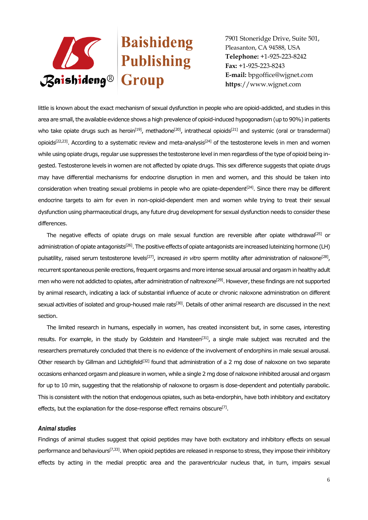

little is known about the exact mechanism of sexual dysfunction in people who are opioid-addicted, and studies in this area are small, the available evidence shows a high prevalence of opioid-induced hypogonadism (up to 90%) in patients who take opiate drugs such as heroin<sup>[19]</sup>, methadone<sup>[20]</sup>, intrathecal opioids<sup>[21]</sup> and systemic (oral or transdermal) opioids<sup>[22,23]</sup>. According to a systematic review and meta-analysis<sup>[24]</sup> of the testosterone levels in men and women while using opiate drugs, regular use suppresses the testosterone level in men regardless of the type of opioid being ingested. Testosterone levels in women are not affected by opiate drugs. This sex difference suggests that opiate drugs may have differential mechanisms for endocrine disruption in men and women, and this should be taken into consideration when treating sexual problems in people who are opiate-dependent $[24]$ . Since there may be different endocrine targets to aim for even in non-opioid-dependent men and women while trying to treat their sexual dysfunction using pharmaceutical drugs, any future drug development for sexual dysfunction needs to consider these differences.

The negative effects of opiate drugs on male sexual function are reversible after opiate withdrawal<sup>[25]</sup> or administration of opiate antagonists<sup>[26]</sup>. The positive effects of opiate antagonists are increased luteinizing hormone (LH) pulsatility, raised serum testosterone levels<sup>[27]</sup>, increased *in vitro* sperm motility after administration of naloxone<sup>[28]</sup>, recurrent spontaneous penile erections, frequent orgasms and more intense sexual arousal and orgasm in healthy adult men who were not addicted to opiates, after administration of naltrexone<sup>[29]</sup>. However, these findings are not supported by animal research, indicating a lack of substantial influence of acute or chronic naloxone administration on different sexual activities of isolated and group-housed male rats<sup>[30]</sup>. Details of other animal research are discussed in the next section.

The limited research in humans, especially in women, has created inconsistent but, in some cases, interesting results. For example, in the study by Goldstein and Hansteen<sup>[31]</sup>, a single male subject was recruited and the researchers prematurely concluded that there is no evidence of the involvement of endorphins in male sexual arousal. Other research by Gillman and Lichtigfeld<sup>[32]</sup> found that administration of a 2 mg dose of naloxone on two separate occasions enhanced orgasm and pleasure in women, while a single 2 mg dose of naloxone inhibited arousal and orgasm for up to 10 min, suggesting that the relationship of naloxone to orgasm is dose-dependent and potentially parabolic. This is consistent with the notion that endogenous opiates, such as beta-endorphin, have both inhibitory and excitatory effects, but the explanation for the dose-response effect remains obscure $^{[7]}$ .

#### *Animal studies*

Findings of animal studies suggest that opioid peptides may have both excitatory and inhibitory effects on sexual performance and behaviours<sup>[7,33]</sup>. When opioid peptides are released in response to stress, they impose their inhibitory effects by acting in the medial preoptic area and the paraventricular nucleus that, in turn, impairs sexual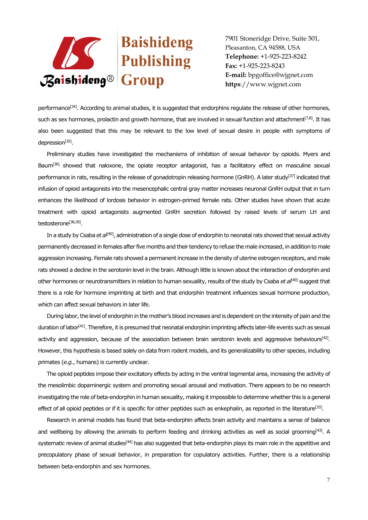

performance<sup>[34]</sup>. According to animal studies, it is suggested that endorphins requlate the release of other hormones, such as sex hormones, prolactin and growth hormone, that are involved in sexual function and attachment<sup>[7,8]</sup>. It has also been suggested that this may be relevant to the low level of sexual desire in people with symptoms of depression<sup>[35]</sup>.

Preliminary studies have investigated the mechanisms of inhibition of sexual behavior by opioids. Myers and Baum<sup>[36]</sup> showed that naloxone, the opiate receptor antagonist, has a facilitatory effect on masculine sexual performance in rats, resulting in the release of gonadotropin releasing hormone (GnRH). A later study<sup>[37]</sup> indicated that infusion of opioid antagonists into the mesencephalic central gray matter increases neuronal GnRH output that in turn enhances the likelihood of lordosis behavior in estrogen-primed female rats. Other studies have shown that acute treatment with opioid antagonists augmented GnRH secretion followed by raised levels of serum LH and testosterone<sup>[38,39]</sup>.

In a study by Csaba *et al*[40], administration of a single dose of endorphin to neonatal rats showed that sexual activity permanently decreased in females after five months and their tendency to refuse the male increased, in addition to male aggression increasing. Female rats showed a permanent increase in the density of uterine estrogen receptors, and male rats showed a decline in the serotonin level in the brain. Although little is known about the interaction of endorphin and other hormones or neurotransmitters in relation to human sexuality, results of the study by Csaba *et al*[40] suggest that there is a role for hormone imprinting at birth and that endorphin treatment influences sexual hormone production, which can affect sexual behaviors in later life.

During labor, the level of endorphin in the mother's blood increases and is dependent on the intensity of pain and the duration of labor<sup>[41]</sup>. Therefore, it is presumed that neonatal endorphin imprinting affects later-life events such as sexual activity and aggression, because of the association between brain serotonin levels and aggressive behaviours<sup>[42]</sup>. However, this hypothesis is based solely on data from rodent models, and its generalizability to other species, including primates (*e.g.*, humans) is currently unclear.

The opioid peptides impose their excitatory effects by acting in the ventral tegmental area, increasing the activity of the mesolimbic dopaminergic system and promoting sexual arousal and motivation. There appears to be no research investigating the role of beta-endorphin in human sexuality, making it impossible to determine whether this is a general effect of all opioid peptides or if it is specific for other peptides such as enkephalin, as reported in the literature $^{[33]}$ .

Research in animal models has found that beta-endorphin affects brain activity and maintains a sense of balance and wellbeing by allowing the animals to perform feeding and drinking activities as well as social grooming $[43]$ . A systematic review of animal studies<sup>[44]</sup> has also suggested that beta-endorphin plays its main role in the appetitive and precopulatory phase of sexual behavior, in preparation for copulatory activities. Further, there is a relationship between beta-endorphin and sex hormones.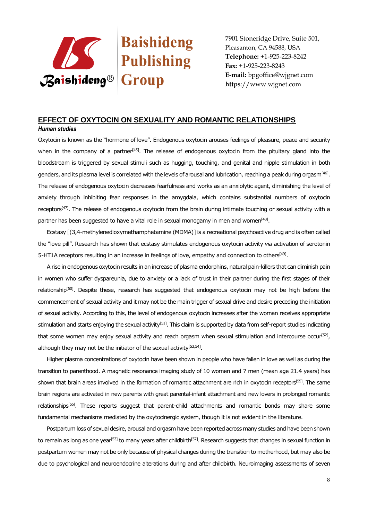

## **EFFECT OF OXYTOCIN ON SEXUALITY AND ROMANTIC RELATIONSHIPS**

#### *Human studies*

Oxytocin is known as the "hormone of love". Endogenous oxytocin arouses feelings of pleasure, peace and security when in the company of a partner<sup>[45]</sup>. The release of endogenous oxytocin from the pituitary gland into the bloodstream is triggered by sexual stimuli such as hugging, touching, and genital and nipple stimulation in both genders, and its plasma level is correlated with the levels of arousal and lubrication, reaching a peak during orgasm<sup>[46]</sup>. The release of endogenous oxytocin decreases fearfulness and works as an anxiolytic agent, diminishing the level of anxiety through inhibiting fear responses in the amygdala, which contains substantial numbers of oxytocin receptors<sup>[47]</sup>. The release of endogenous oxytocin from the brain during intimate touching or sexual activity with a partner has been suggested to have a vital role in sexual monogamy in men and women $^{[48]}$ .

Ecstasy [(3,4-methylenedioxymethamphetamine (MDMA)] is a recreational psychoactive drug and is often called the "love pill". Research has shown that ecstasy stimulates endogenous oxytocin activity *via* activation of serotonin 5-HT1A receptors resulting in an increase in feelings of love, empathy and connection to others<sup>[49]</sup>.

A rise in endogenous oxytocin results in an increase of plasma endorphins, natural pain-killers that can diminish pain in women who suffer dyspareunia, due to anxiety or a lack of trust in their partner during the first stages of their relationship<sup>[50]</sup>. Despite these, research has suggested that endogenous oxytocin may not be high before the commencement of sexual activity and it may not be the main trigger of sexual drive and desire preceding the initiation of sexual activity. According to this, the level of endogenous oxytocin increases after the woman receives appropriate stimulation and starts enjoying the sexual activity<sup>[51]</sup>. This claim is supported by data from self-report studies indicating that some women may enjoy sexual activity and reach orgasm when sexual stimulation and intercourse occur<sup>(52)</sup>, although they may not be the initiator of the sexual activity<sup>[53,54]</sup>.

Higher plasma concentrations of oxytocin have been shown in people who have fallen in love as well as during the transition to parenthood. A magnetic resonance imaging study of 10 women and 7 men (mean age 21.4 years) has shown that brain areas involved in the formation of romantic attachment are rich in oxytocin receptors<sup>[55]</sup>. The same brain regions are activated in new parents with great parental-infant attachment and new lovers in prolonged romantic relationships<sup>[56]</sup>. These reports suggest that parent-child attachments and romantic bonds may share some fundamental mechanisms mediated by the oxytocinergic system, though it is not evident in the literature.

Postpartum loss of sexual desire, arousal and orgasm have been reported across many studies and have been shown to remain as long as one year<sup>[53]</sup> to many years after childbirth<sup>[57]</sup>. Research suggests that changes in sexual function in postpartum women may not be only because of physical changes during the transition to motherhood, but may also be due to psychological and neuroendocrine alterations during and after childbirth. Neuroimaging assessments of seven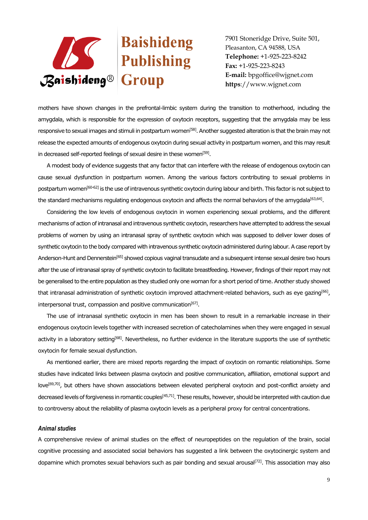

mothers have shown changes in the prefrontal-limbic system during the transition to motherhood, including the amygdala, which is responsible for the expression of oxytocin receptors, suggesting that the amygdala may be less responsive to sexual images and stimuli in postpartum women<sup>[58]</sup>. Another suggested alteration is that the brain may not release the expected amounts of endogenous oxytocin during sexual activity in postpartum women, and this may result in decreased self-reported feelings of sexual desire in these women<sup>[59]</sup>.

A modest body of evidence suggests that any factor that can interfere with the release of endogenous oxytocin can cause sexual dysfunction in postpartum women. Among the various factors contributing to sexual problems in postpartum women[60-62] is the use of intravenous synthetic oxytocin during labour and birth. This factor is not subject to the standard mechanisms regulating endogenous oxytocin and affects the normal behaviors of the amygdala $^{[63,64]}.$ 

Considering the low levels of endogenous oxytocin in women experiencing sexual problems, and the different mechanisms of action of intranasal and intravenous synthetic oxytocin, researchers have attempted to address the sexual problems of women by using an intranasal spray of synthetic oxytocin which was supposed to deliver lower doses of synthetic oxytocin to the body compared with intravenous synthetic oxytocin administered during labour. A case report by Anderson-Hunt and Dennerstein[65] showed copious vaginal transudate and a subsequent intense sexual desire two hours after the use of intranasal spray of synthetic oxytocin to facilitate breastfeeding. However, findings of their report may not be generalised to the entire population as they studied only one woman for a short period of time. Another study showed that intranasal administration of synthetic oxytocin improved attachment-related behaviors, such as eye gazing<sup>[66]</sup>, interpersonal trust, compassion and positive communication<sup>[67]</sup>.

The use of intranasal synthetic oxytocin in men has been shown to result in a remarkable increase in their endogenous oxytocin levels together with increased secretion of catecholamines when they were engaged in sexual activity in a laboratory setting<sup>[68]</sup>. Nevertheless, no further evidence in the literature supports the use of synthetic oxytocin for female sexual dysfunction.

As mentioned earlier, there are mixed reports regarding the impact of oxytocin on romantic relationships. Some studies have indicated links between plasma oxytocin and positive communication, affiliation, emotional support and love<sup>[69,70]</sup>, but others have shown associations between elevated peripheral oxytocin and post-conflict anxiety and decreased levels of forgiveness in romantic couples[45,71]. These results, however, should be interpreted with caution due to controversy about the reliability of plasma oxytocin levels as a peripheral proxy for central concentrations.

#### *Animal studies*

A comprehensive review of animal studies on the effect of neuropeptides on the regulation of the brain, social cognitive processing and associated social behaviors has suggested a link between the oxytocinergic system and dopamine which promotes sexual behaviors such as pair bonding and sexual arousal[72]. This association may also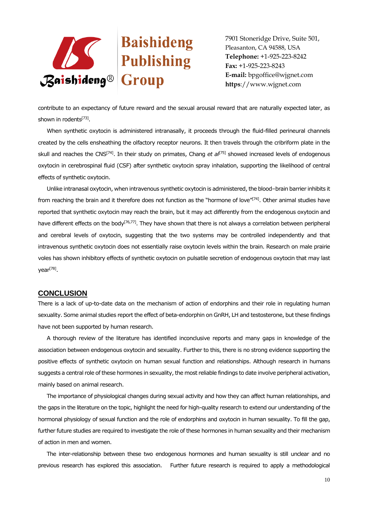

contribute to an expectancy of future reward and the sexual arousal reward that are naturally expected later, as shown in rodents<sup>[73]</sup>.

When synthetic oxytocin is administered intranasally, it proceeds through the fluid-filled perineural channels created by the cells ensheathing the olfactory receptor neurons. It then travels through the cribriform plate in the skull and reaches the CNS<sup>[74]</sup>. In their study on primates, Chang *et al*<sup>[75]</sup> showed increased levels of endogenous oxytocin in cerebrospinal fluid (CSF) after synthetic oxytocin spray inhalation, supporting the likelihood of central effects of synthetic oxytocin.

Unlike intranasal oxytocin, when intravenous synthetic oxytocin is administered, the blood–brain barrier inhibits it from reaching the brain and it therefore does not function as the "hormone of love"<sup>[74]</sup>. Other animal studies have reported that synthetic oxytocin may reach the brain, but it may act differently from the endogenous oxytocin and have different effects on the body<sup>[76,77]</sup>. They have shown that there is not always a correlation between peripheral and cerebral levels of oxytocin, suggesting that the two systems may be controlled independently and that intravenous synthetic oxytocin does not essentially raise oxytocin levels within the brain. Research on male prairie voles has shown inhibitory effects of synthetic oxytocin on pulsatile secretion of endogenous oxytocin that may last year<sup>[78]</sup>.

### **CONCLUSION**

There is a lack of up-to-date data on the mechanism of action of endorphins and their role in regulating human sexuality. Some animal studies report the effect of beta-endorphin on GnRH, LH and testosterone, but these findings have not been supported by human research.

A thorough review of the literature has identified inconclusive reports and many gaps in knowledge of the association between endogenous oxytocin and sexuality. Further to this, there is no strong evidence supporting the positive effects of synthetic oxytocin on human sexual function and relationships. Although research in humans suggests a central role of these hormones in sexuality, the most reliable findings to date involve peripheral activation, mainly based on animal research.

The importance of physiological changes during sexual activity and how they can affect human relationships, and the gaps in the literature on the topic, highlight the need for high-quality research to extend our understanding of the hormonal physiology of sexual function and the role of endorphins and oxytocin in human sexuality. To fill the gap, further future studies are required to investigate the role of these hormones in human sexuality and their mechanism of action in men and women.

The inter-relationship between these two endogenous hormones and human sexuality is still unclear and no previous research has explored this association. Further future research is required to apply a methodological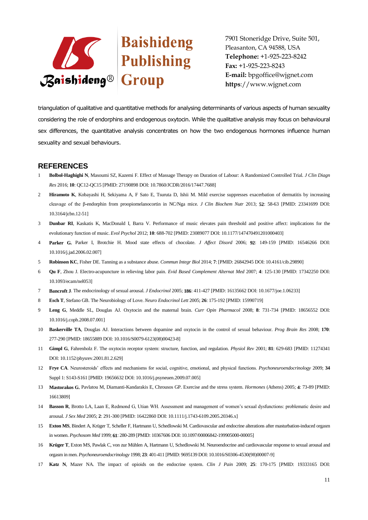

triangulation of qualitative and quantitative methods for analysing determinants of various aspects of human sexuality considering the role of endorphins and endogenous oxytocin. While the qualitative analysis may focus on behavioural sex differences, the quantitative analysis concentrates on how the two endogenous hormones influence human sexuality and sexual behaviours.

# **REFERENCES**

- 1 **Bolbol-Haghighi N**, Masoumi SZ, Kazemi F. Effect of Massage Therapy on Duration of Labour: A Randomized Controlled Trial. *J Clin Diagn Res* 2016; **10**: QC12-QC15 [PMID: 27190898 DOI: 10.7860/JCDR/2016/17447.7688]
- 2 **Hiramoto K**, Kobayashi H, Sekiyama A, F Sato E, Tsuruta D, Ishii M. Mild exercise suppresses exacerbation of dermatitis by increasing cleavage of the β-endorphin from proopiomelanocortin in NC/Nga mice. *J Clin Biochem Nutr* 2013; **52**: 58-63 [PMID: 23341699 DOI: 10.3164/jcbn.12-51]
- 3 **Dunbar RI**, Kaskatis K, MacDonald I, Barra V. Performance of music elevates pain threshold and positive affect: implications for the evolutionary function of music. *Evol Psychol* 2012; **10**: 688-702 [PMID: 23089077 DOI: 10.1177/147470491201000403]
- 4 **Parker G**, Parker I, Brotchie H. Mood state effects of chocolate. *J Affect Disord* 2006; **92**: 149-159 [PMID: 16546266 DOI: 10.1016/j.jad.2006.02.007]
- 5 **Robinson KC**, Fisher DE. Tanning as a substance abuse. *Commun Integr Biol* 2014; **7**: [PMID: 26842945 DOI: 10.4161/cib.29890]
- 6 **Qu F**, Zhou J. Electro-acupuncture in relieving labor pain. *Evid Based Complement Alternat Med* 2007; **4**: 125-130 [PMID: 17342250 DOI: 10.1093/ecam/nel053]
- 7 **Bancroft J**. The endocrinology of sexual arousal. *J Endocrinol* 2005; **186**: 411-427 [PMID: 16135662 DOI: 10.1677/joe.1.06233]
- 8 **Esch T**, Stefano GB. The Neurobiology of Love. *Neuro Endocrinol Lett* 2005; **26**: 175-192 [PMID: 15990719]
- 9 **Leng G**, Meddle SL, Douglas AJ. Oxytocin and the maternal brain. *Curr Opin Pharmacol* 2008; **8**: 731-734 [PMID: 18656552 DOI: 10.1016/j.coph.2008.07.001]
- 10 **Baskerville TA**, Douglas AJ. Interactions between dopamine and oxytocin in the control of sexual behaviour. *Prog Brain Res* 2008; **170**: 277-290 [PMID: 18655889 DOI: 10.1016/S0079-6123(08)00423-8]
- 11 **Gimpl G**, Fahrenholz F. The oxytocin receptor system: structure, function, and regulation. *Physiol Rev* 2001; **81**: 629-683 [PMID: 11274341 DOI: 10.1152/physrev.2001.81.2.629]
- 12 **Frye CA**. Neurosteroids' effects and mechanisms for social, cognitive, emotional, and physical functions. *Psychoneuroendocrinology* 2009; **34** Suppl 1: S143-S161 [PMID: 19656632 DOI: 10.1016/j.psyneuen.2009.07.005]
- 13 **Mastorakos G**, Pavlatou M, Diamanti-Kandarakis E, Chrousos GP. Exercise and the stress system. *Hormones* (Athens) 2005; **4**: 73-89 [PMID: 16613809]
- 14 **Basson R**, Brotto LA, Laan E, Redmond G, Utian WH. Assessment and management of women's sexual dysfunctions: problematic desire and arousal. *J Sex Med* 2005; **2**: 291-300 [PMID: 16422860 DOI: 10.1111/j.1743-6109.2005.20346.x]
- 15 **Exton MS**, Bindert A, Krüger T, Scheller F, Hartmann U, Schedlowski M. Cardiovascular and endocrine alterations after masturbation-induced orgasm in women. *Psychosom Med* 1999; **61**: 280-289 [PMID: 10367606 DOI: 10.1097/00006842-199905000-00005]
- 16 **Krüger T**, Exton MS, Pawlak C, von zur Mühlen A, Hartmann U, Schedlowski M. Neuroendocrine and cardiovascular response to sexual arousal and orgasm in men. *Psychoneuroendocrinology* 1998; **23**: 401-411 [PMID: 9695139 DOI: 10.1016/S0306-4530(98)00007-9]
- 17 **Katz N**, Mazer NA. The impact of opioids on the endocrine system. *Clin J Pain* 2009; **25**: 170-175 [PMID: 19333165 DOI: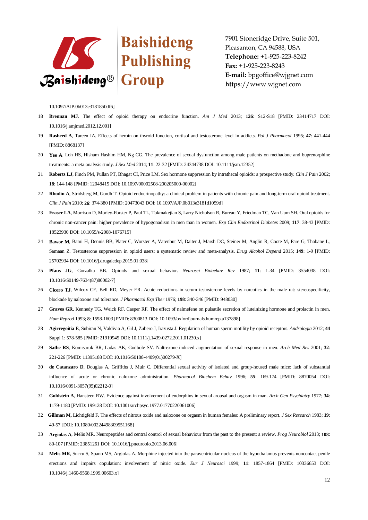

10.1097/AJP.0b013e3181850df6]

- 18 **Brennan MJ**. The effect of opioid therapy on endocrine function. *Am J Med* 2013; **126**: S12-S18 [PMID: 23414717 DOI: 10.1016/j.amjmed.2012.12.001]
- 19 **Rasheed A**, Tareen IA. Effects of heroin on thyroid function, cortisol and testosterone level in addicts. *Pol J Pharmacol* 1995; **47**: 441-444 [PMID: 8868137]
- 20 **Yee A**, Loh HS, Hisham Hashim HM, Ng CG. The prevalence of sexual dysfunction among male patients on methadone and buprenorphine treatments: a meta-analysis study. *J Sex Med* 2014; **11**: 22-32 [PMID: 24344738 DOI: 10.1111/jsm.12352]
- 21 **Roberts LJ**, Finch PM, Pullan PT, Bhagat CI, Price LM. Sex hormone suppression by intrathecal opioids: a prospective study. *Clin J Pain* 2002; **18**: 144-148 [PMID: 12048415 DOI: 10.1097/00002508-200205000-00002]
- 22 **Rhodin A**, Stridsberg M, Gordh T. Opioid endocrinopathy: a clinical problem in patients with chronic pain and long-term oral opioid treatment. *Clin J Pain* 2010; **26**: 374-380 [PMID: 20473043 DOI: 10.1097/AJP.0b013e3181d1059d]
- 23 **Fraser LA**, Morrison D, Morley-Forster P, Paul TL, Tokmakejian S, Larry Nicholson R, Bureau Y, Friedman TC, Van Uum SH. Oral opioids for chronic non-cancer pain: higher prevalence of hypogonadism in men than in women. *Exp Clin Endocrinol Diabetes* 2009; **117**: 38-43 [PMID: 18523930 DOI: 10.1055/s-2008-1076715]
- 24 **Bawor M**, Bami H, Dennis BB, Plater C, Worster A, Varenbut M, Daiter J, Marsh DC, Steiner M, Anglin R, Coote M, Pare G, Thabane L, Samaan Z. Testosterone suppression in opioid users: a systematic review and meta-analysis. *Drug Alcohol Depend* 2015; **149**: 1-9 [PMID: 25702934 DOI: 10.1016/j.drugalcdep.2015.01.038]
- 25 **Pfaus JG**, Gorzalka BB. Opioids and sexual behavior. *Neurosci Biobehav Rev* 1987; **11**: 1-34 [PMID: 3554038 DOI: 10.1016/S0149-7634(87)80002-7]
- 26 **Cicero TJ**, Wilcox CE, Bell RD, Meyer ER. Acute reductions in serum testosterone levels by narcotics in the male rat: stereospecificity, blockade by naloxone and tolerance. *J Pharmacol Exp Ther* 1976; **198**: 340-346 [PMID: 948030]
- 27 **Graves GR**, Kennedy TG, Weick RF, Casper RF. The effect of nalmefene on pulsatile secretion of luteinizing hormone and prolactin in men. *Hum Reprod* 1993; **8**: 1598-1603 [PMID: 8300813 DOI: 10.1093/oxfordjournals.humrep.a137898]
- 28 **Agirregoitia E**, Subiran N, Valdivia A, Gil J, Zubero J, Irazusta J. Regulation of human sperm motility by opioid receptors. *Andrologia* 2012; **44**  Suppl 1: 578-585 [PMID: 21919945 DOI: 10.1111/j.1439-0272.2011.01230.x]
- 29 **Sathe RS**, Komisaruk BR, Ladas AK, Godbole SV. Naltrexone-induced augmentation of sexual response in men. *Arch Med Res* 2001; **32**: 221-226 [PMID: 11395188 DOI: 10.1016/S0188-4409(01)00279-X]
- 30 **de Catanzaro D**, Douglas A, Griffiths J, Muir C. Differential sexual activity of isolated and group-housed male mice: lack of substantial influence of acute or chronic naloxone administration. *Pharmacol Biochem Behav* 1996; **55**: 169-174 [PMID: 8870054 DOI: 10.1016/0091-3057(95)02212-0]
- 31 **Goldstein A**, Hansteen RW. Evidence against involvement of endorphins in sexual arousal and orgasm in man. *Arch Gen Psychiatry* 1977; **34**: 1179-1180 [PMID: 199128 DOI: 10.1001/archpsyc.1977.01770220061006]
- 32 **Gillman M,** Lichtigfeld F. The effects of nitrous oxide and naloxone on orgasm in human females: A preliminary report. *J Sex Research* 1983; **19**: 49-57 [DOI: 10.1080/00224498309551168]
- 33 **Argiolas A**, Melis MR. Neuropeptides and central control of sexual behaviour from the past to the present: a review. *Prog Neurobiol* 2013; **108**: 80-107 [PMID: 23851261 DOI: 10.1016/j.pneurobio.2013.06.006]
- 34 **Melis MR**, Succu S, Spano MS, Argiolas A. Morphine injected into the paraventricular nucleus of the hypothalamus prevents noncontact penile erections and impairs copulation: involvement of nitric oxide. *Eur J Neurosci* 1999; **11**: 1857-1864 [PMID: 10336653 DOI: 10.1046/j.1460-9568.1999.00603.x]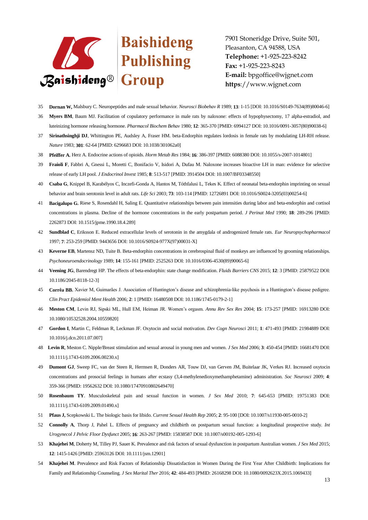

- 35 **Dornan W,** Malsbury C. Neuropeptides and male sexual behavior. *Neurosci Biobehav R* 1989; **13**: 1-15 [DOI: 10.1016/S0149-7634(89)80046-6]
- 36 **Myers BM**, Baum MJ. Facilitation of copulatory performance in male rats by naloxone: effects of hypophysectomy, 17 alpha-estradiol, and luteinizing hormone releasing hormone. *Pharmacol Biochem Behav* 1980; **12**: 365-370 [PMID: 6994127 DOI: 10.1016/0091-3057(80)90038-6]
- 37 **Sirinathsinghji DJ**, Whittington PE, Audsley A, Fraser HM. beta-Endorphin regulates lordosis in female rats by modulating LH-RH release. *Nature* 1983; **301**: 62-64 [PMID: 6296683 DOI: 10.1038/301062a0]
- 38 **Pfeiffer A**, Herz A. Endocrine actions of opioids. *Horm Metab Res* 1984; **16**: 386-397 [PMID: 6088380 DOI: 10.1055/s-2007-1014801]
- 39 **Fraioli F**, Fabbri A, Gnessi L, Moretti C, Bonifacio V, Isidori A, Dufau M. Naloxone increases bioactive LH in man: evidence for selective release of early LH pool. *J Endocrinol Invest* 1985; **8**: 513-517 [PMID: 3914504 DOI: 10.1007/BF03348550]
- 40 **Csaba G**, Knippel B, Karabélyos C, Inczefi-Gonda A, Hantos M, Tóthfalusi L, Tekes K. Effect of neonatal beta-endorphin imprinting on sexual behavior and brain serotonin level in adult rats. *Life Sci* 2003; **73**: 103-114 [PMID: 12726891 DOI: 10.1016/S0024-3205(03)00254-6]
- 41 **Bacigalupo G**, Riese S, Rosendahl H, Saling E. Quantitative relationships between pain intensities during labor and beta-endorphin and cortisol concentrations in plasma. Decline of the hormone concentrations in the early postpartum period. *J Perinat Med* 1990; **18**: 289-296 [PMID: 2262873 DOI: 10.1515/jpme.1990.18.4.289]
- 42 **Sundblad C**, Eriksson E. Reduced extracellular levels of serotonin in the amygdala of androgenized female rats. *Eur Neuropsychopharmacol* 1997; **7**: 253-259 [PMID: 9443656 DOI: 10.1016/S0924-977X(97)00031-X]
- 43 **Keverne EB**, Martensz ND, Tuite B. Beta-endorphin concentrations in cerebrospinal fluid of monkeys are influenced by grooming relationships. *Psychoneuroendocrinology* 1989; **14**: 155-161 [PMID: 2525263 DOI: 10.1016/0306-4530(89)90065-6]
- 44 **Veening JG**, Barendregt HP. The effects of beta-endorphin: state change modification. *Fluids Barriers CNS* 2015; **12**: 3 [PMID: 25879522 DOI: 10.1186/2045-8118-12-3]
- 45 **Corrêa BB**, Xavier M, Guimarães J. Association of Huntington's disease and schizophrenia-like psychosis in a Huntington's disease pedigree. *Clin Pract Epidemiol Ment Health* 2006; **2**: 1 [PMID: 16480508 DOI: 10.1186/1745-0179-2-1]
- 46 **Meston CM**, Levin RJ, Sipski ML, Hull EM, Heiman JR. Women's orgasm. *Annu Rev Sex Res* 2004; **15**: 173-257 [PMID: 16913280 DOI: 10.1080/10532528.2004.10559820]
- 47 **Gordon I**, Martin C, Feldman R, Leckman JF. Oxytocin and social motivation. *Dev Cogn Neurosci* 2011; **1**: 471-493 [PMID: 21984889 DOI: 10.1016/j.dcn.2011.07.007]
- 48 **Levin R**, Meston C. Nipple/Breast stimulation and sexual arousal in young men and women. *J Sex Med* 2006; **3**: 450-454 [PMID: 16681470 DOI: 10.1111/j.1743-6109.2006.00230.x]
- 49 **Dumont GJ**, Sweep FC, van der Steen R, Hermsen R, Donders AR, Touw DJ, van Gerven JM, Buitelaar JK, Verkes RJ. Increased oxytocin concentrations and prosocial feelings in humans after ecstasy (3,4-methylenedioxymethamphetamine) administration. *Soc Neurosci* 2009; **4**: 359-366 [PMID: 19562632 DOI: 10.1080/17470910802649470]
- 50 **Rosenbaum TY**. Musculoskeletal pain and sexual function in women. *J Sex Med* 2010; **7**: 645-653 [PMID: 19751383 DOI: 10.1111/j.1743-6109.2009.01490.x]
- 51 **Pfaus J,** Scepkowski L. The biologic basis for libido. *Current Sexual Health Rep* 2005; **2**: 95-100 [DOI: 10.1007/s11930-005-0010-2]
- 52 **Connolly A**, Thorp J, Pahel L. Effects of pregnancy and childbirth on postpartum sexual function: a longitudinal prospective study. *Int Urogynecol J Pelvic Floor Dysfunct* 2005; **16**: 263-267 [PMID: 15838587 DOI: 10.1007/s00192-005-1293-6]
- 53 **Khajehei M**, Doherty M, Tilley PJ, Sauer K. Prevalence and risk factors of sexual dysfunction in postpartum Australian women. *J Sex Med* 2015; **12**: 1415-1426 [PMID: 25963126 DOI: 10.1111/jsm.12901]
- 54 **Khajehei M**. Prevalence and Risk Factors of Relationship Dissatisfaction in Women During the First Year After Childbirth: Implications for Family and Relationship Counseling. *J Sex Marital Ther* 2016; **42**: 484-493 [PMID: 26168298 DOI: 10.1080/0092623X.2015.1069433]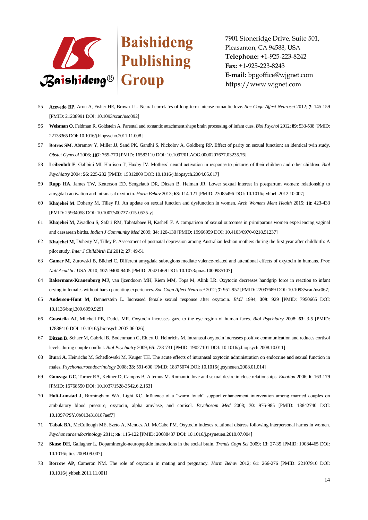

- 55 **Acevedo BP**, Aron A, Fisher HE, Brown LL. Neural correlates of long-term intense romantic love. *Soc Cogn Affect Neurosci* 2012; **7**: 145-159 [PMID: 21208991 DOI: 10.1093/scan/nsq092]
- 56 **Weisman O**, Feldman R, Goldstein A. Parental and romantic attachment shape brain processing of infant cues. *Biol Psychol* 2012; **89**: 533-538 [PMID: 22138365 DOI: 10.1016/j.biopsycho.2011.11.008]
- 57 **Botros SM**, Abramov Y, Miller JJ, Sand PK, Gandhi S, Nickolov A, Goldberg RP. Effect of parity on sexual function: an identical twin study. *Obstet Gynecol* 2006; **107**: 765-770 [PMID: 16582110 DOI: 10.1097/01.AOG.0000207677.03235.76]
- 58 **Leibenluft E**, Gobbini MI, Harrison T, Haxby JV. Mothers' neural activation in response to pictures of their children and other children. *Biol Psychiatry* 2004; **56**: 225-232 [PMID: 15312809 DOI: 10.1016/j.biopsych.2004.05.017]
- 59 **Rupp HA**, James TW, Ketterson ED, Sengelaub DR, Ditzen B, Heiman JR. Lower sexual interest in postpartum women: relationship to amygdala activation and intranasal oxytocin. *Horm Behav* 2013; **63**: 114-121 [PMID: 23085496 DOI: 10.1016/j.yhbeh.2012.10.007]
- 60 **Khajehei M**, Doherty M, Tilley PJ. An update on sexual function and dysfunction in women. *Arch Womens Ment Health* 2015; **18**: 423-433 [PMID: 25934058 DOI: 10.1007/s00737-015-0535-y]
- 61 **Khajehei M**, Ziyadlou S, Safari RM, Tabatabaee H, Kashefi F. A comparison of sexual outcomes in primiparous women experiencing vaginal and caesarean births. *Indian J Community Med* 2009; **34**: 126-130 [PMID: 19966959 DOI: 10.4103/0970-0218.51237]
- 62 **Khajehei M,** Doherty M, Tilley P. Assessment of postnatal depression among Australian lesbian mothers during the first year after childbirth: A pilot study. *Inter J Childbirth Ed* 2012; **27**: 49-51
- 63 **Gamer M**, Zurowski B, Büchel C. Different amygdala subregions mediate valence-related and attentional effects of oxytocin in humans. *Proc Natl Acad Sci* USA 2010; **107**: 9400-9405 [PMID: 20421469 DOI: 10.1073/pnas.1000985107]
- 64 **Bakermans-Kranenburg MJ**, van Ijzendoorn MH, Riem MM, Tops M, Alink LR. Oxytocin decreases handgrip force in reaction to infant crying in females without harsh parenting experiences. *Soc Cogn Affect Neurosci* 2012; **7**: 951-957 [PMID: 22037689 DOI: 10.1093/scan/nsr067]
- 65 **Anderson-Hunt M**, Dennerstein L. Increased female sexual response after oxytocin. *BMJ* 1994; **309**: 929 [PMID: 7950665 DOI: 10.1136/bmj.309.6959.929]
- 66 **Guastella AJ**, Mitchell PB, Dadds MR. Oxytocin increases gaze to the eye region of human faces. *Biol Psychiatry* 2008; **63**: 3-5 [PMID: 17888410 DOI: 10.1016/j.biopsych.2007.06.026]
- 67 **Ditzen B**, Schaer M, Gabriel B, Bodenmann G, Ehlert U, Heinrichs M. Intranasal oxytocin increases positive communication and reduces cortisol levels during couple conflict. *Biol Psychiatry* 2009; **65**: 728-731 [PMID: 19027101 DOI: 10.1016/j.biopsych.2008.10.011]
- 68 **Burri A**, Heinrichs M, Schedlowski M, Kruger TH. The acute effects of intranasal oxytocin administration on endocrine and sexual function in males. *Psychoneuroendocrinology* 2008; **33**: 591-600 [PMID: 18375074 DOI: 10.1016/j.psyneuen.2008.01.014]
- 69 **Gonzaga GC**, Turner RA, Keltner D, Campos B, Altemus M. Romantic love and sexual desire in close relationships. *Emotion* 2006; **6**: 163-179 [PMID: 16768550 DOI: 10.1037/1528-3542.6.2.163]
- 70 **Holt-Lunstad J**, Birmingham WA, Light KC. Influence of a "warm touch" support enhancement intervention among married couples on ambulatory blood pressure, oxytocin, alpha amylase, and cortisol. *Psychosom Med* 2008; **70**: 976-985 [PMID: 18842740 DOI: 10.1097/PSY.0b013e318187aef7]
- 71 **Tabak BA**, McCullough ME, Szeto A, Mendez AJ, McCabe PM. Oxytocin indexes relational distress following interpersonal harms in women. *Psychoneuroendocrinology* 2011; **36**: 115-122 [PMID: 20688437 DOI: 10.1016/j.psyneuen.2010.07.004]
- 72 **Skuse DH**, Gallagher L. Dopaminergic-neuropeptide interactions in the social brain. *Trends Cogn Sci* 2009; **13**: 27-35 [PMID: 19084465 DOI: 10.1016/j.tics.2008.09.007]
- 73 **Borrow AP**, Cameron NM. The role of oxytocin in mating and pregnancy. *Horm Behav* 2012; **61**: 266-276 [PMID: 22107910 DOI: 10.1016/j.yhbeh.2011.11.001]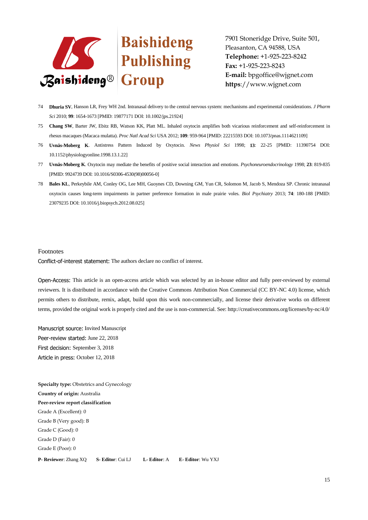

- 74 **Dhuria SV**, Hanson LR, Frey WH 2nd. Intranasal delivery to the central nervous system: mechanisms and experimental considerations. *J Pharm Sci* 2010; **99**: 1654-1673 [PMID: 19877171 DOI: 10.1002/jps.21924]
- 75 **Chang SW**, Barter JW, Ebitz RB, Watson KK, Platt ML. Inhaled oxytocin amplifies both vicarious reinforcement and self-reinforcement in rhesus macaques (Macaca mulatta). *Proc Natl Acad Sci* USA 2012; **109**: 959-964 [PMID: 22215593 DOI: 10.1073/pnas.1114621109]
- 76 **Uvnäs-Moberg K**. Antistress Pattern Induced by Oxytocin. *News Physiol Sci* 1998; **13**: 22-25 [PMID: 11390754 DOI: 10.1152/physiologyonline.1998.13.1.22]
- 77 **Uvnäs-Moberg K**. Oxytocin may mediate the benefits of positive social interaction and emotions. *Psychoneuroendocrinology* 1998; **23**: 819-835 [PMID: 9924739 DOI: 10.1016/S0306-4530(98)00056-0]
- 78 **Bales KL**, Perkeybile AM, Conley OG, Lee MH, Guoynes CD, Downing GM, Yun CR, Solomon M, Jacob S, Mendoza SP. Chronic intranasal oxytocin causes long-term impairments in partner preference formation in male prairie voles. *Biol Psychiatry* 2013; **74**: 180-188 [PMID: 23079235 DOI: 10.1016/j.biopsych.2012.08.025]

#### Footnotes

Conflict-of-interest statement: The authors declare no conflict of interest.

Open-Access: This article is an open-access article which was selected by an in-house editor and fully peer-reviewed by external reviewers. It is distributed in accordance with the Creative Commons Attribution Non Commercial (CC BY-NC 4.0) license, which permits others to distribute, remix, adapt, build upon this work non-commercially, and license their derivative works on different terms, provided the original work is properly cited and the use is non-commercial. See: http://creativecommons.org/licenses/by-nc/4.0/

Manuscript source: Invited Manuscript Peer-review started: June 22, 2018 First decision: September 3, 2018 Article in press: October 12, 2018

**Specialty type: Obstetrics and Gynecology Country of origin:** Australia **Peer-review report classification** Grade A (Excellent): 0 Grade B (Very good): B Grade C (Good): 0 Grade D (Fair): 0 Grade E (Poor): 0 **P- Reviewer**: Zhang XQ **S- Editor**: Cui LJ **L- Editor**: A **E- Editor**: Wu YXJ